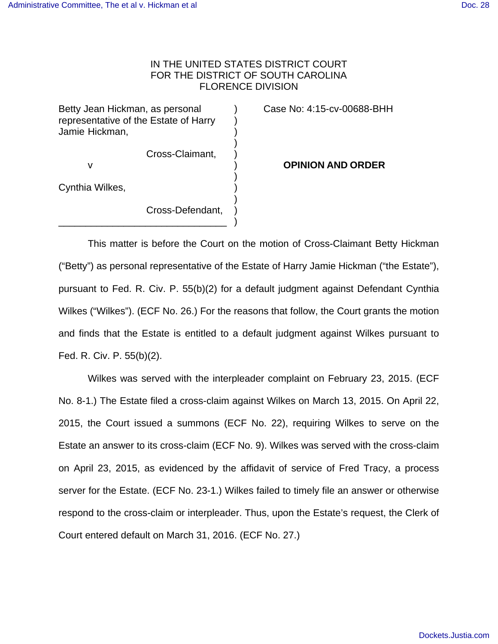## IN THE UNITED STATES DISTRICT COURT FOR THE DISTRICT OF SOUTH CAROLINA FLORENCE DIVISION

Betty Jean Hickman, as personal (a) Case No: 4:15-cv-00688-BHH representative of the Estate of Harry ) Jamie Hickman, ) )

\_\_\_\_\_\_\_\_\_\_\_\_\_\_\_\_\_\_\_\_\_\_\_\_\_\_\_\_\_\_\_ )

Cross-Claimant, )

 ) Cynthia Wilkes, )

 ) Cross-Defendant, )

v ) **OPINION AND ORDER**

This matter is before the Court on the motion of Cross-Claimant Betty Hickman ("Betty") as personal representative of the Estate of Harry Jamie Hickman ("the Estate"), pursuant to Fed. R. Civ. P. 55(b)(2) for a default judgment against Defendant Cynthia Wilkes ("Wilkes"). (ECF No. 26.) For the reasons that follow, the Court grants the motion and finds that the Estate is entitled to a default judgment against Wilkes pursuant to Fed. R. Civ. P. 55(b)(2).

Wilkes was served with the interpleader complaint on February 23, 2015. (ECF No. 8-1.) The Estate filed a cross-claim against Wilkes on March 13, 2015. On April 22, 2015, the Court issued a summons (ECF No. 22), requiring Wilkes to serve on the Estate an answer to its cross-claim (ECF No. 9). Wilkes was served with the cross-claim on April 23, 2015, as evidenced by the affidavit of service of Fred Tracy, a process server for the Estate. (ECF No. 23-1.) Wilkes failed to timely file an answer or otherwise respond to the cross-claim or interpleader. Thus, upon the Estate's request, the Clerk of Court entered default on March 31, 2016. (ECF No. 27.)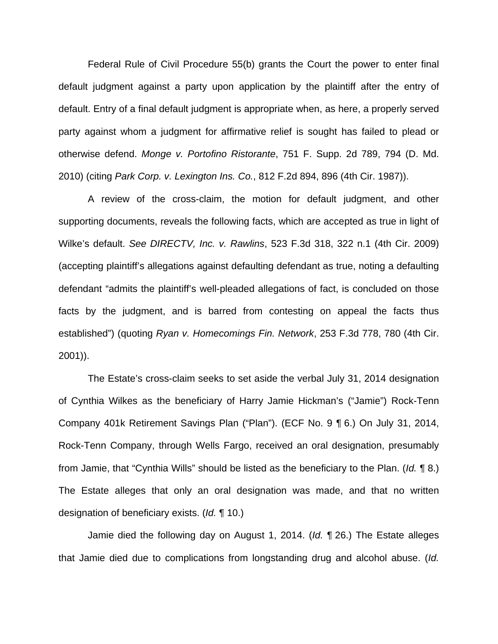Federal Rule of Civil Procedure 55(b) grants the Court the power to enter final default judgment against a party upon application by the plaintiff after the entry of default. Entry of a final default judgment is appropriate when, as here, a properly served party against whom a judgment for affirmative relief is sought has failed to plead or otherwise defend. Monge v. Portofino Ristorante, 751 F. Supp. 2d 789, 794 (D. Md. 2010) (citing Park Corp. v. Lexington Ins. Co., 812 F.2d 894, 896 (4th Cir. 1987)).

A review of the cross-claim, the motion for default judgment, and other supporting documents, reveals the following facts, which are accepted as true in light of Wilke's default. See DIRECTV, Inc. v. Rawlins, 523 F.3d 318, 322 n.1 (4th Cir. 2009) (accepting plaintiff's allegations against defaulting defendant as true, noting a defaulting defendant "admits the plaintiff's well-pleaded allegations of fact, is concluded on those facts by the judgment, and is barred from contesting on appeal the facts thus established") (quoting Ryan v. Homecomings Fin. Network, 253 F.3d 778, 780 (4th Cir. 2001)).

The Estate's cross-claim seeks to set aside the verbal July 31, 2014 designation of Cynthia Wilkes as the beneficiary of Harry Jamie Hickman's ("Jamie") Rock-Tenn Company 401k Retirement Savings Plan ("Plan"). (ECF No. 9 ¶ 6.) On July 31, 2014, Rock-Tenn Company, through Wells Fargo, received an oral designation, presumably from Jamie, that "Cynthia Wills" should be listed as the beneficiary to the Plan. (Id. 18.) The Estate alleges that only an oral designation was made, and that no written designation of beneficiary exists. (Id. ¶ 10.)

Jamie died the following day on August 1, 2014. (Id. 126.) The Estate alleges that Jamie died due to complications from longstanding drug and alcohol abuse. (Id.